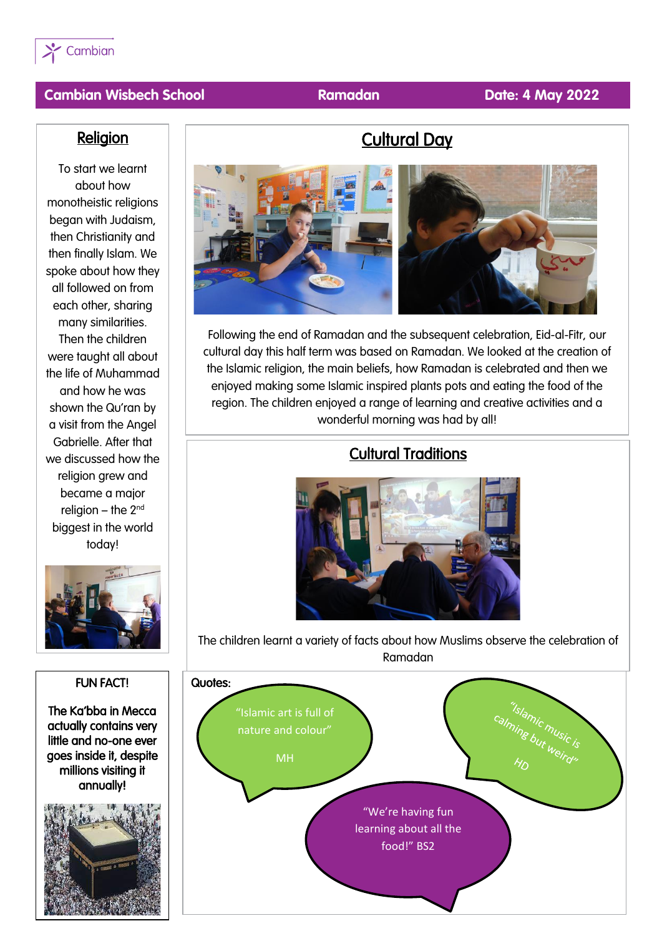

#### **Cambian Wisbech School Ramadan Date: 4 May 2022**

#### **Religion**

To start we learnt about how monotheistic religions began with Judaism, then Christianity and then finally Islam. We spoke about how they all followed on from each other, sharing many similarities. Then the children were taught all about the life of Muhammad and how he was shown the Qu'ran by a visit from the Angel Gabrielle. After that we discussed how the religion grew and became a major religion – the  $2<sup>nd</sup>$ biggest in the world today!



# FUN FACT! The Ka'bba in Mecca actually contains very little and no-one ever goes inside it, despite millions visiting it annually!

 $\overline{\phantom{a}}$ 



Cultural Day

Following the end of Ramadan and the subsequent celebration, Eid-al-Fitr, our cultural day this half term was based on Ramadan. We looked at the creation of the Islamic religion, the main beliefs, how Ramadan is celebrated and then we enjoyed making some Islamic inspired plants pots and eating the food of the region. The children enjoyed a range of learning and creative activities and a wonderful morning was had by all!

#### Cultural Traditions



The children learnt a variety of facts about how Muslims observe the celebration of Ramadan